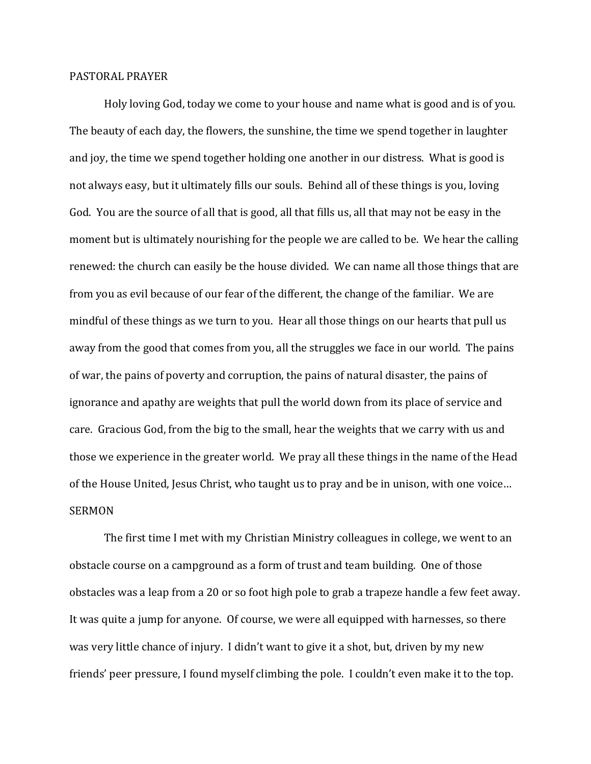## PASTORAL PRAYER

Holy loving God, today we come to your house and name what is good and is of you. The beauty of each day, the flowers, the sunshine, the time we spend together in laughter and joy, the time we spend together holding one another in our distress. What is good is not always easy, but it ultimately fills our souls. Behind all of these things is you, loving God. You are the source of all that is good, all that fills us, all that may not be easy in the moment but is ultimately nourishing for the people we are called to be. We hear the calling renewed: the church can easily be the house divided. We can name all those things that are from you as evil because of our fear of the different, the change of the familiar. We are mindful of these things as we turn to you. Hear all those things on our hearts that pull us away from the good that comes from you, all the struggles we face in our world. The pains of war, the pains of poverty and corruption, the pains of natural disaster, the pains of ignorance and apathy are weights that pull the world down from its place of service and care. Gracious God, from the big to the small, hear the weights that we carry with us and those we experience in the greater world. We pray all these things in the name of the Head of the House United, Jesus Christ, who taught us to pray and be in unison, with one voice… SERMON

The first time I met with my Christian Ministry colleagues in college, we went to an obstacle course on a campground as a form of trust and team building. One of those obstacles was a leap from a 20 or so foot high pole to grab a trapeze handle a few feet away. It was quite a jump for anyone. Of course, we were all equipped with harnesses, so there was very little chance of injury. I didn't want to give it a shot, but, driven by my new friends' peer pressure, I found myself climbing the pole. I couldn't even make it to the top.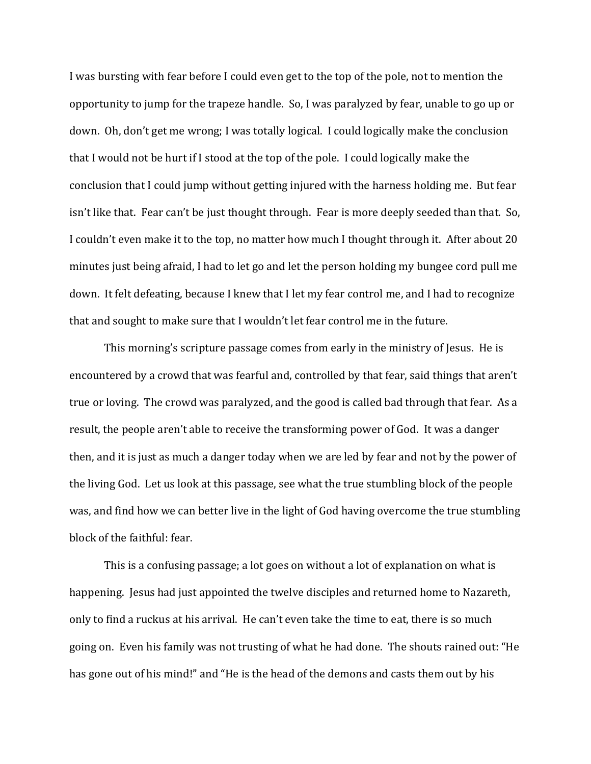I was bursting with fear before I could even get to the top of the pole, not to mention the opportunity to jump for the trapeze handle. So, I was paralyzed by fear, unable to go up or down. Oh, don't get me wrong; I was totally logical. I could logically make the conclusion that I would not be hurt if I stood at the top of the pole. I could logically make the conclusion that I could jump without getting injured with the harness holding me. But fear isn't like that. Fear can't be just thought through. Fear is more deeply seeded than that. So, I couldn't even make it to the top, no matter how much I thought through it. After about 20 minutes just being afraid, I had to let go and let the person holding my bungee cord pull me down. It felt defeating, because I knew that I let my fear control me, and I had to recognize that and sought to make sure that I wouldn't let fear control me in the future.

This morning's scripture passage comes from early in the ministry of Jesus. He is encountered by a crowd that was fearful and, controlled by that fear, said things that aren't true or loving. The crowd was paralyzed, and the good is called bad through that fear. As a result, the people aren't able to receive the transforming power of God. It was a danger then, and it is just as much a danger today when we are led by fear and not by the power of the living God. Let us look at this passage, see what the true stumbling block of the people was, and find how we can better live in the light of God having overcome the true stumbling block of the faithful: fear.

This is a confusing passage; a lot goes on without a lot of explanation on what is happening. Jesus had just appointed the twelve disciples and returned home to Nazareth, only to find a ruckus at his arrival. He can't even take the time to eat, there is so much going on. Even his family was not trusting of what he had done. The shouts rained out: "He has gone out of his mind!" and "He is the head of the demons and casts them out by his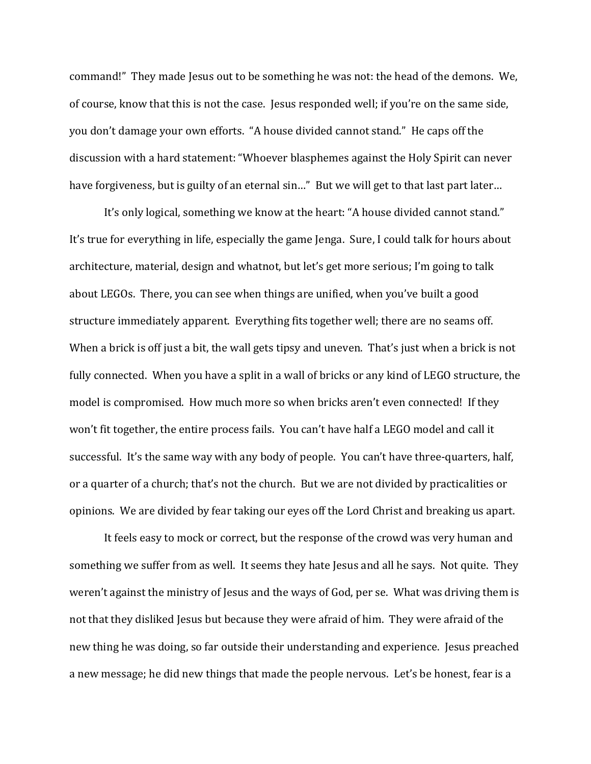command!" They made Jesus out to be something he was not: the head of the demons. We, of course, know that this is not the case. Jesus responded well; if you're on the same side, you don't damage your own efforts. "A house divided cannot stand." He caps off the discussion with a hard statement: "Whoever blasphemes against the Holy Spirit can never have forgiveness, but is guilty of an eternal sin..." But we will get to that last part later...

It's only logical, something we know at the heart: "A house divided cannot stand." It's true for everything in life, especially the game Jenga. Sure, I could talk for hours about architecture, material, design and whatnot, but let's get more serious; I'm going to talk about LEGOs. There, you can see when things are unified, when you've built a good structure immediately apparent. Everything fits together well; there are no seams off. When a brick is off just a bit, the wall gets tipsy and uneven. That's just when a brick is not fully connected. When you have a split in a wall of bricks or any kind of LEGO structure, the model is compromised. How much more so when bricks aren't even connected! If they won't fit together, the entire process fails. You can't have half a LEGO model and call it successful. It's the same way with any body of people. You can't have three-quarters, half, or a quarter of a church; that's not the church. But we are not divided by practicalities or opinions. We are divided by fear taking our eyes off the Lord Christ and breaking us apart.

It feels easy to mock or correct, but the response of the crowd was very human and something we suffer from as well. It seems they hate Jesus and all he says. Not quite. They weren't against the ministry of Jesus and the ways of God, per se. What was driving them is not that they disliked Jesus but because they were afraid of him. They were afraid of the new thing he was doing, so far outside their understanding and experience. Jesus preached a new message; he did new things that made the people nervous. Let's be honest, fear is a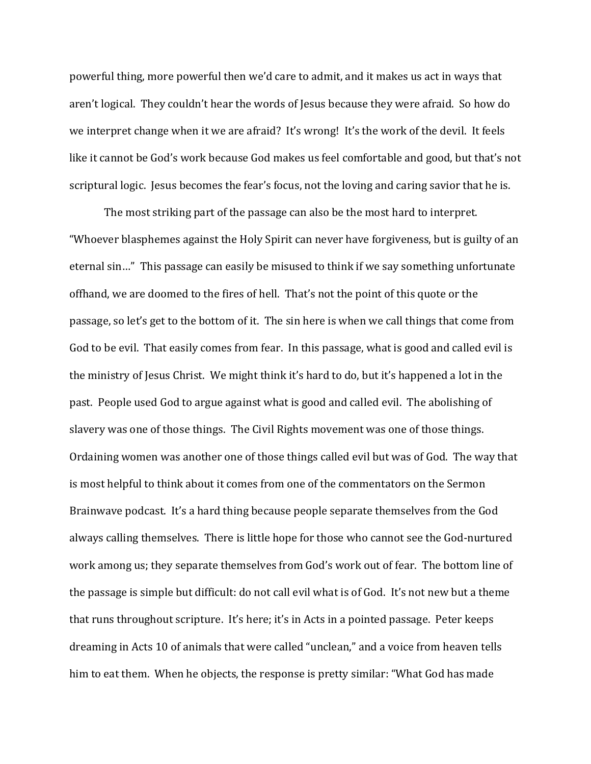powerful thing, more powerful then we'd care to admit, and it makes us act in ways that aren't logical. They couldn't hear the words of Jesus because they were afraid. So how do we interpret change when it we are afraid? It's wrong! It's the work of the devil. It feels like it cannot be God's work because God makes us feel comfortable and good, but that's not scriptural logic. Jesus becomes the fear's focus, not the loving and caring savior that he is.

The most striking part of the passage can also be the most hard to interpret. "Whoever blasphemes against the Holy Spirit can never have forgiveness, but is guilty of an eternal sin…" This passage can easily be misused to think if we say something unfortunate offhand, we are doomed to the fires of hell. That's not the point of this quote or the passage, so let's get to the bottom of it. The sin here is when we call things that come from God to be evil. That easily comes from fear. In this passage, what is good and called evil is the ministry of Jesus Christ. We might think it's hard to do, but it's happened a lot in the past. People used God to argue against what is good and called evil. The abolishing of slavery was one of those things. The Civil Rights movement was one of those things. Ordaining women was another one of those things called evil but was of God. The way that is most helpful to think about it comes from one of the commentators on the Sermon Brainwave podcast. It's a hard thing because people separate themselves from the God always calling themselves. There is little hope for those who cannot see the God-nurtured work among us; they separate themselves from God's work out of fear. The bottom line of the passage is simple but difficult: do not call evil what is of God. It's not new but a theme that runs throughout scripture. It's here; it's in Acts in a pointed passage. Peter keeps dreaming in Acts 10 of animals that were called "unclean," and a voice from heaven tells him to eat them. When he objects, the response is pretty similar: "What God has made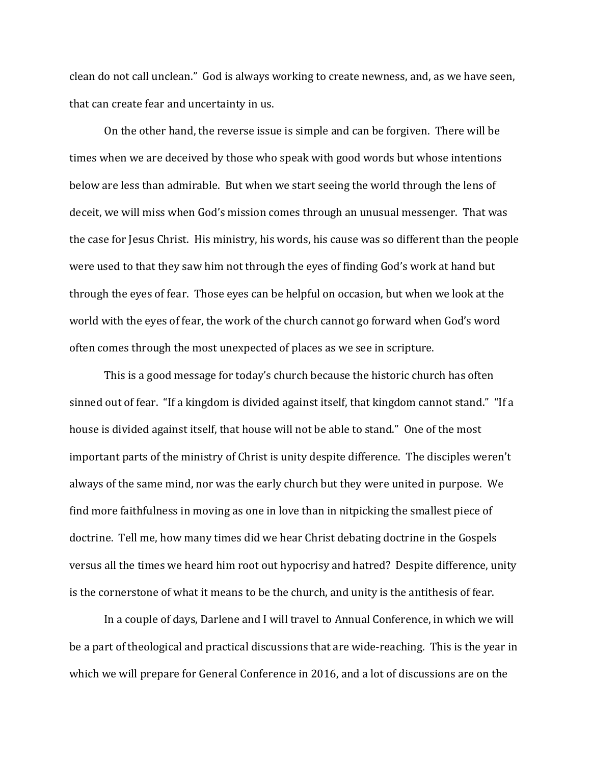clean do not call unclean." God is always working to create newness, and, as we have seen, that can create fear and uncertainty in us.

On the other hand, the reverse issue is simple and can be forgiven. There will be times when we are deceived by those who speak with good words but whose intentions below are less than admirable. But when we start seeing the world through the lens of deceit, we will miss when God's mission comes through an unusual messenger. That was the case for Jesus Christ. His ministry, his words, his cause was so different than the people were used to that they saw him not through the eyes of finding God's work at hand but through the eyes of fear. Those eyes can be helpful on occasion, but when we look at the world with the eyes of fear, the work of the church cannot go forward when God's word often comes through the most unexpected of places as we see in scripture.

This is a good message for today's church because the historic church has often sinned out of fear. "If a kingdom is divided against itself, that kingdom cannot stand." "If a house is divided against itself, that house will not be able to stand." One of the most important parts of the ministry of Christ is unity despite difference. The disciples weren't always of the same mind, nor was the early church but they were united in purpose. We find more faithfulness in moving as one in love than in nitpicking the smallest piece of doctrine. Tell me, how many times did we hear Christ debating doctrine in the Gospels versus all the times we heard him root out hypocrisy and hatred? Despite difference, unity is the cornerstone of what it means to be the church, and unity is the antithesis of fear.

In a couple of days, Darlene and I will travel to Annual Conference, in which we will be a part of theological and practical discussions that are wide-reaching. This is the year in which we will prepare for General Conference in 2016, and a lot of discussions are on the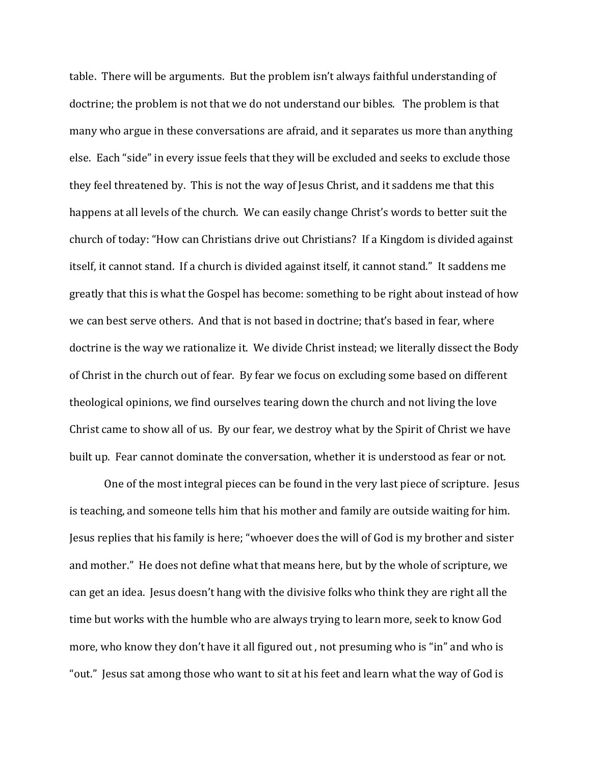table. There will be arguments. But the problem isn't always faithful understanding of doctrine; the problem is not that we do not understand our bibles. The problem is that many who argue in these conversations are afraid, and it separates us more than anything else. Each "side" in every issue feels that they will be excluded and seeks to exclude those they feel threatened by. This is not the way of Jesus Christ, and it saddens me that this happens at all levels of the church. We can easily change Christ's words to better suit the church of today: "How can Christians drive out Christians? If a Kingdom is divided against itself, it cannot stand. If a church is divided against itself, it cannot stand." It saddens me greatly that this is what the Gospel has become: something to be right about instead of how we can best serve others. And that is not based in doctrine; that's based in fear, where doctrine is the way we rationalize it. We divide Christ instead; we literally dissect the Body of Christ in the church out of fear. By fear we focus on excluding some based on different theological opinions, we find ourselves tearing down the church and not living the love Christ came to show all of us. By our fear, we destroy what by the Spirit of Christ we have built up. Fear cannot dominate the conversation, whether it is understood as fear or not.

One of the most integral pieces can be found in the very last piece of scripture. Jesus is teaching, and someone tells him that his mother and family are outside waiting for him. Jesus replies that his family is here; "whoever does the will of God is my brother and sister and mother." He does not define what that means here, but by the whole of scripture, we can get an idea. Jesus doesn't hang with the divisive folks who think they are right all the time but works with the humble who are always trying to learn more, seek to know God more, who know they don't have it all figured out , not presuming who is "in" and who is "out." Jesus sat among those who want to sit at his feet and learn what the way of God is